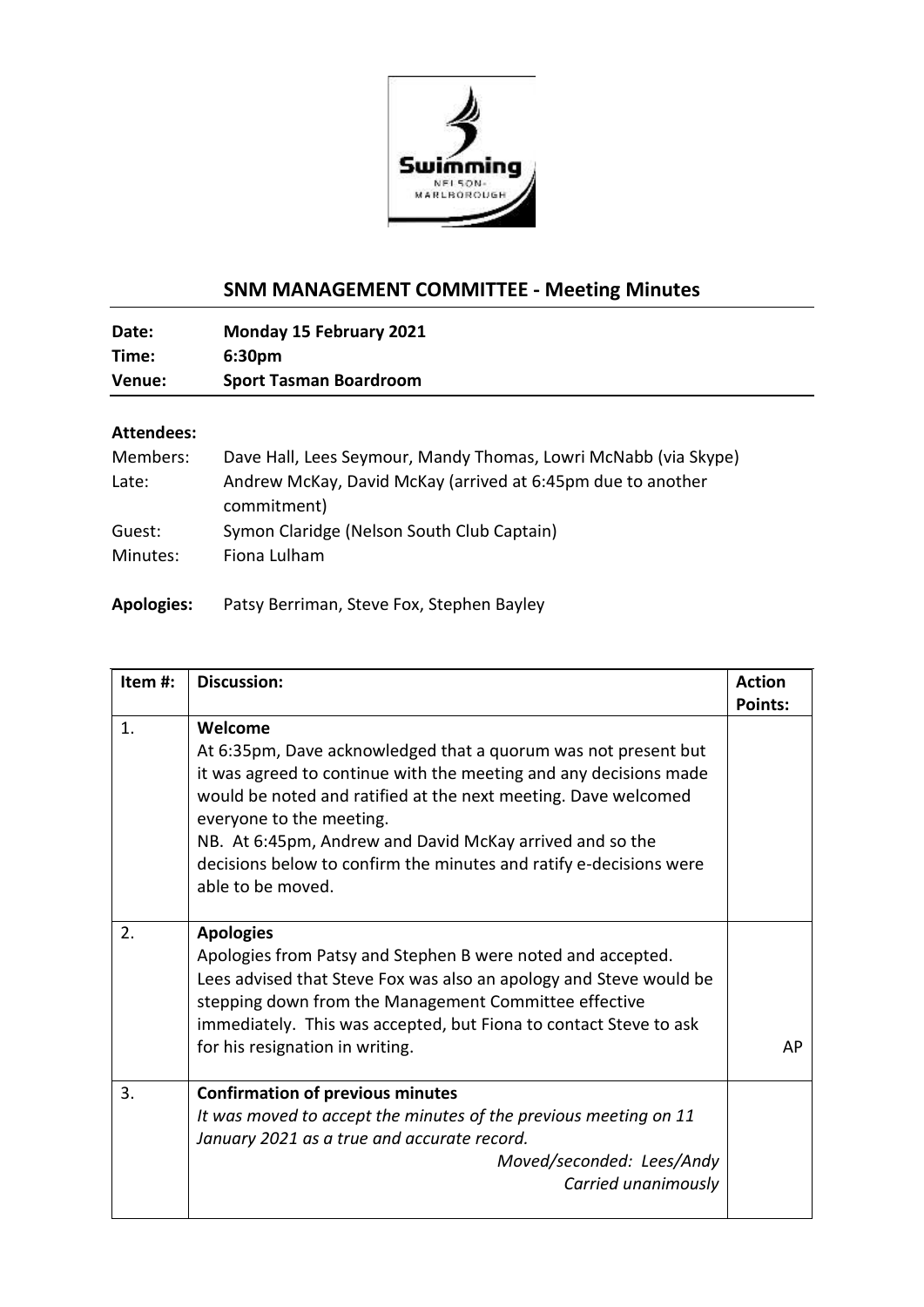

## **SNM MANAGEMENT COMMITTEE - Meeting Minutes**

**Date: Monday 15 February 2021 Time: 6:30pm Venue: Sport Tasman Boardroom**

## **Attendees:**

| Members: | Dave Hall, Lees Seymour, Mandy Thomas, Lowri McNabb (via Skype) |
|----------|-----------------------------------------------------------------|
| Late:    | Andrew McKay, David McKay (arrived at 6:45pm due to another     |
|          | commitment)                                                     |
| Guest:   | Symon Claridge (Nelson South Club Captain)                      |
| Minutes: | Fiona Lulham                                                    |
|          |                                                                 |

**Apologies:** Patsy Berriman, Steve Fox, Stephen Bayley

| Item#: | <b>Discussion:</b>                                                                                                                                                                                                                                                                                                                                                                                  | <b>Action</b><br>Points: |
|--------|-----------------------------------------------------------------------------------------------------------------------------------------------------------------------------------------------------------------------------------------------------------------------------------------------------------------------------------------------------------------------------------------------------|--------------------------|
| 1.     | Welcome<br>At 6:35pm, Dave acknowledged that a quorum was not present but<br>it was agreed to continue with the meeting and any decisions made<br>would be noted and ratified at the next meeting. Dave welcomed<br>everyone to the meeting.<br>NB. At 6:45pm, Andrew and David McKay arrived and so the<br>decisions below to confirm the minutes and ratify e-decisions were<br>able to be moved. |                          |
| 2.     | <b>Apologies</b><br>Apologies from Patsy and Stephen B were noted and accepted.<br>Lees advised that Steve Fox was also an apology and Steve would be<br>stepping down from the Management Committee effective<br>immediately. This was accepted, but Fiona to contact Steve to ask<br>for his resignation in writing.                                                                              | AP                       |
| 3.     | <b>Confirmation of previous minutes</b><br>It was moved to accept the minutes of the previous meeting on 11<br>January 2021 as a true and accurate record.<br>Moved/seconded: Lees/Andy<br>Carried unanimously                                                                                                                                                                                      |                          |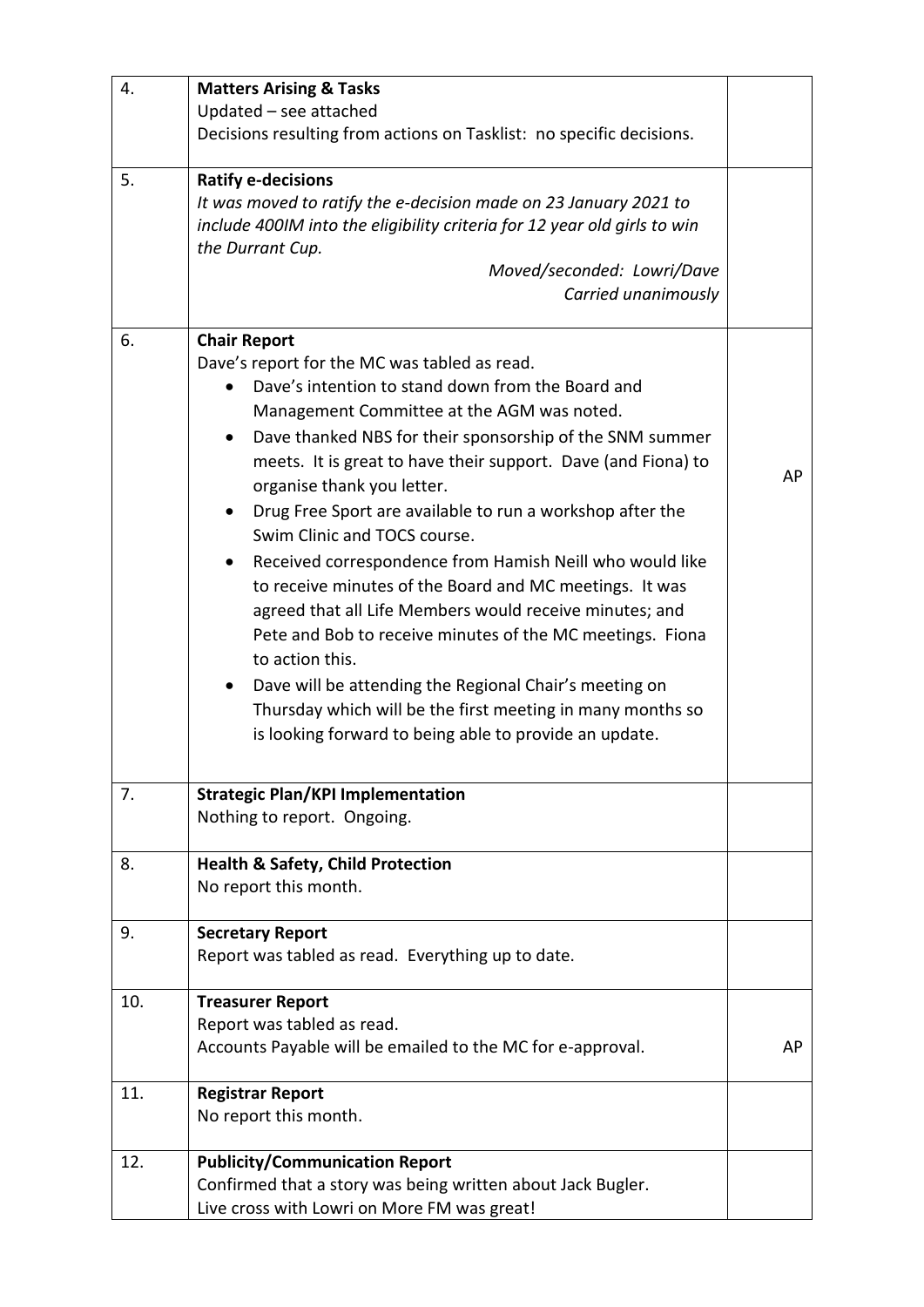| 4.  | <b>Matters Arising &amp; Tasks</b>                                       |    |
|-----|--------------------------------------------------------------------------|----|
|     | Updated - see attached                                                   |    |
|     | Decisions resulting from actions on Tasklist: no specific decisions.     |    |
| 5.  | <b>Ratify e-decisions</b>                                                |    |
|     | It was moved to ratify the e-decision made on 23 January 2021 to         |    |
|     | include 400IM into the eligibility criteria for 12 year old girls to win |    |
|     | the Durrant Cup.                                                         |    |
|     | Moved/seconded: Lowri/Dave                                               |    |
|     | Carried unanimously                                                      |    |
| 6.  | <b>Chair Report</b>                                                      |    |
|     | Dave's report for the MC was tabled as read.                             |    |
|     | Dave's intention to stand down from the Board and                        |    |
|     | Management Committee at the AGM was noted.                               |    |
|     | Dave thanked NBS for their sponsorship of the SNM summer<br>$\bullet$    |    |
|     | meets. It is great to have their support. Dave (and Fiona) to            | AP |
|     | organise thank you letter.                                               |    |
|     | Drug Free Sport are available to run a workshop after the<br>$\bullet$   |    |
|     | Swim Clinic and TOCS course.                                             |    |
|     | Received correspondence from Hamish Neill who would like                 |    |
|     | to receive minutes of the Board and MC meetings. It was                  |    |
|     | agreed that all Life Members would receive minutes; and                  |    |
|     | Pete and Bob to receive minutes of the MC meetings. Fiona                |    |
|     | to action this.                                                          |    |
|     | Dave will be attending the Regional Chair's meeting on<br>$\bullet$      |    |
|     | Thursday which will be the first meeting in many months so               |    |
|     | is looking forward to being able to provide an update.                   |    |
| 7.  | <b>Strategic Plan/KPI Implementation</b>                                 |    |
|     | Nothing to report. Ongoing.                                              |    |
|     |                                                                          |    |
| 8.  | <b>Health &amp; Safety, Child Protection</b>                             |    |
|     | No report this month.                                                    |    |
| 9.  | <b>Secretary Report</b>                                                  |    |
|     | Report was tabled as read. Everything up to date.                        |    |
| 10. | <b>Treasurer Report</b>                                                  |    |
|     | Report was tabled as read.                                               |    |
|     | Accounts Payable will be emailed to the MC for e-approval.               | AP |
| 11. | <b>Registrar Report</b>                                                  |    |
|     | No report this month.                                                    |    |
| 12. | <b>Publicity/Communication Report</b>                                    |    |
|     | Confirmed that a story was being written about Jack Bugler.              |    |
|     | Live cross with Lowri on More FM was great!                              |    |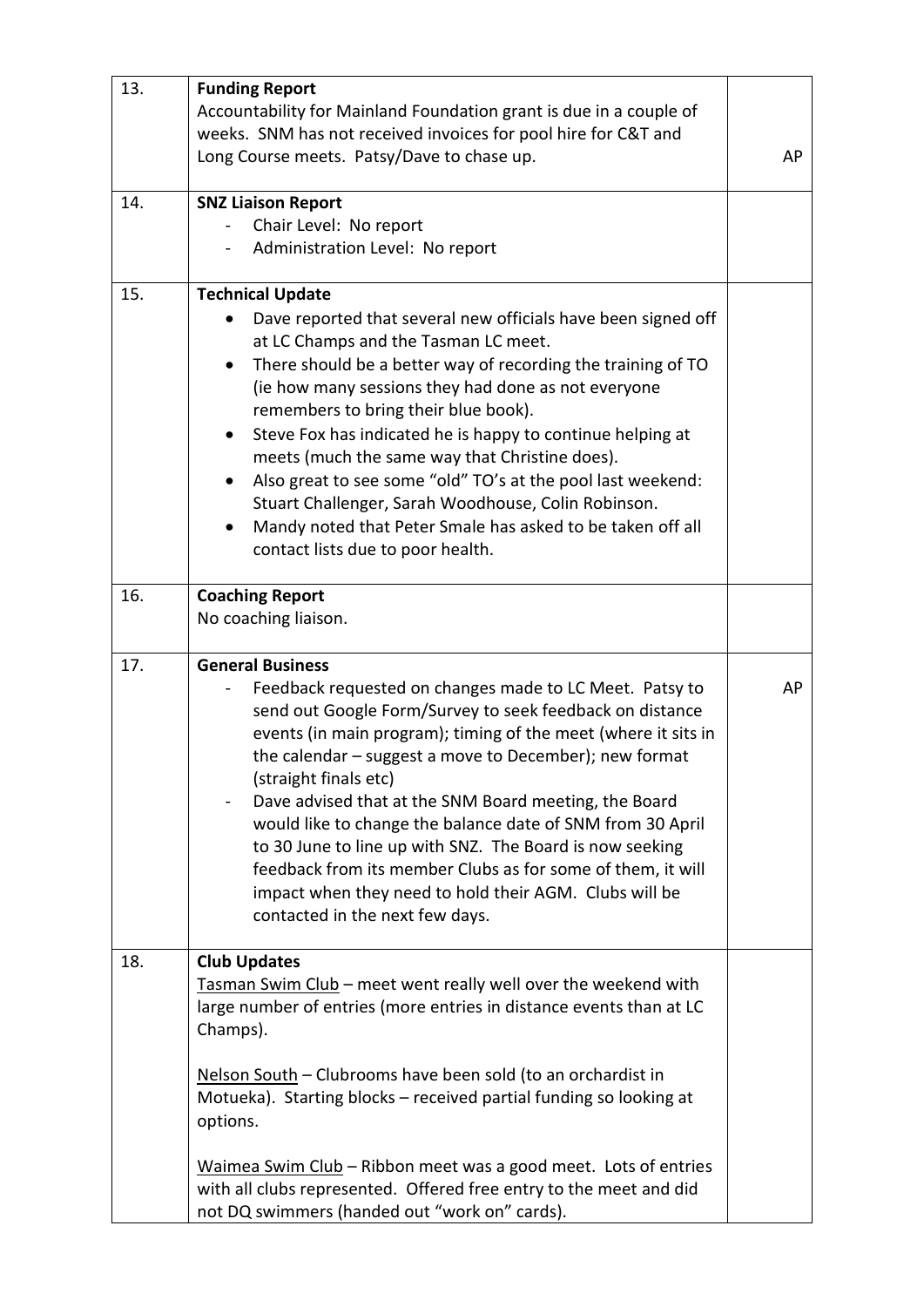| 13. | <b>Funding Report</b><br>Accountability for Mainland Foundation grant is due in a couple of<br>weeks. SNM has not received invoices for pool hire for C&T and                                                                                                                                                                                                                                                                                                                                                                                                                                                                                                                                |    |
|-----|----------------------------------------------------------------------------------------------------------------------------------------------------------------------------------------------------------------------------------------------------------------------------------------------------------------------------------------------------------------------------------------------------------------------------------------------------------------------------------------------------------------------------------------------------------------------------------------------------------------------------------------------------------------------------------------------|----|
|     | Long Course meets. Patsy/Dave to chase up.                                                                                                                                                                                                                                                                                                                                                                                                                                                                                                                                                                                                                                                   | AP |
| 14. | <b>SNZ Liaison Report</b><br>Chair Level: No report<br>Administration Level: No report                                                                                                                                                                                                                                                                                                                                                                                                                                                                                                                                                                                                       |    |
| 15. | <b>Technical Update</b><br>Dave reported that several new officials have been signed off<br>at LC Champs and the Tasman LC meet.<br>There should be a better way of recording the training of TO<br>$\bullet$<br>(ie how many sessions they had done as not everyone<br>remembers to bring their blue book).<br>Steve Fox has indicated he is happy to continue helping at<br>$\bullet$<br>meets (much the same way that Christine does).<br>Also great to see some "old" TO's at the pool last weekend:<br>$\bullet$<br>Stuart Challenger, Sarah Woodhouse, Colin Robinson.<br>Mandy noted that Peter Smale has asked to be taken off all<br>$\bullet$<br>contact lists due to poor health. |    |
| 16. | <b>Coaching Report</b><br>No coaching liaison.                                                                                                                                                                                                                                                                                                                                                                                                                                                                                                                                                                                                                                               |    |
| 17. | <b>General Business</b><br>Feedback requested on changes made to LC Meet. Patsy to<br>send out Google Form/Survey to seek feedback on distance<br>events (in main program); timing of the meet (where it sits in<br>the calendar - suggest a move to December); new format<br>(straight finals etc)<br>Dave advised that at the SNM Board meeting, the Board<br>would like to change the balance date of SNM from 30 April<br>to 30 June to line up with SNZ. The Board is now seeking<br>feedback from its member Clubs as for some of them, it will<br>impact when they need to hold their AGM. Clubs will be<br>contacted in the next few days.                                           | AP |
| 18. | <b>Club Updates</b><br>Tasman Swim Club - meet went really well over the weekend with<br>large number of entries (more entries in distance events than at LC<br>Champs).<br>Nelson South - Clubrooms have been sold (to an orchardist in<br>Motueka). Starting blocks - received partial funding so looking at<br>options.<br>Waimea Swim Club - Ribbon meet was a good meet. Lots of entries<br>with all clubs represented. Offered free entry to the meet and did<br>not DQ swimmers (handed out "work on" cards).                                                                                                                                                                         |    |